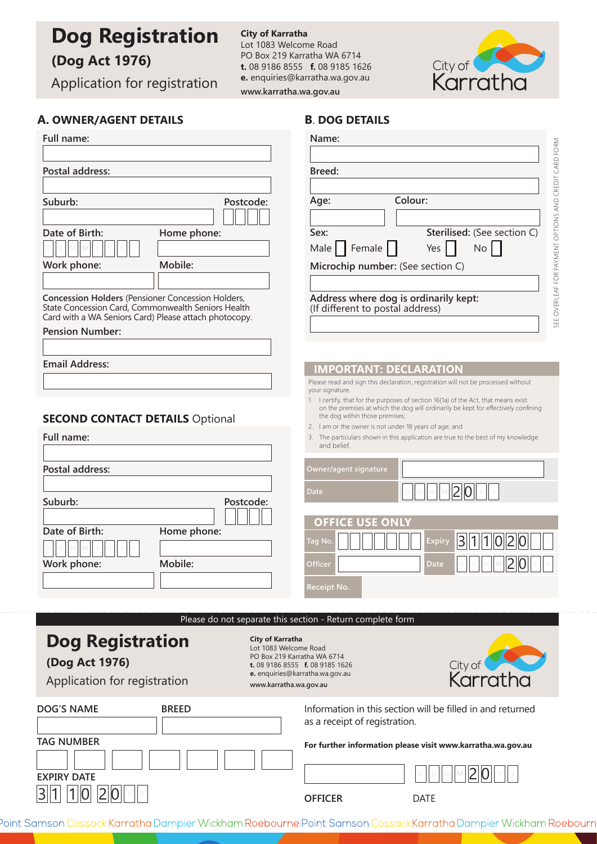# **Dog Registration**

# **(Dog Act 1976)**

Application for registration

**City of Karratha** Lot 1083 Welcome Road PO Box 219 Karratha WA 6714 **t.** 08 9186 8555 **f.** 08 9185 1626 **e.** enquiries@karratha.wa.gov.au **www.karratha.wa.gov.au**



# **A. OWNER/AGENT DETAILS**

| A. OWNER/AGENT DETAILS                                                                                                                                           | <b>B. DOG DETAILS</b>                                                                                                                       |  |
|------------------------------------------------------------------------------------------------------------------------------------------------------------------|---------------------------------------------------------------------------------------------------------------------------------------------|--|
| Full name:                                                                                                                                                       | Name:                                                                                                                                       |  |
|                                                                                                                                                                  |                                                                                                                                             |  |
| Postal address:                                                                                                                                                  | Breed:                                                                                                                                      |  |
|                                                                                                                                                                  |                                                                                                                                             |  |
| Suburb:<br>Postcode:                                                                                                                                             | Colour:<br>Age:                                                                                                                             |  |
|                                                                                                                                                                  |                                                                                                                                             |  |
| Date of Birth:<br>Home phone:                                                                                                                                    | Sterilised: (See section C)<br>Sex:                                                                                                         |  |
|                                                                                                                                                                  | Female    <br>No<br>Yes<br>Male                                                                                                             |  |
| Mobile:<br>Work phone:                                                                                                                                           | Microchip number: (See section C)                                                                                                           |  |
|                                                                                                                                                                  |                                                                                                                                             |  |
| Concession Holders (Pensioner Concession Holders,<br>State Concession Card, Commonwealth Seniors Health<br>Card with a WA Seniors Card) Please attach photocopy. | SEE OVERLEAF FOR PAYMENT OPTIONS AND CREDIT CARD FORM<br>Address where dog is ordinarily kept:<br>(If different to postal address)          |  |
| <b>Pension Number:</b>                                                                                                                                           |                                                                                                                                             |  |
|                                                                                                                                                                  |                                                                                                                                             |  |
| <b>Email Address:</b>                                                                                                                                            | <b>IMPORTANT: DECLARATION</b>                                                                                                               |  |
|                                                                                                                                                                  | Please read and sign this declaration, registration will not be processed without                                                           |  |
|                                                                                                                                                                  | your signature.<br>1. I certify, that for the purposes of section 16(1a) of the Act, that means exist                                       |  |
| <b>SECOND CONTACT DETAILS Optional</b>                                                                                                                           | on the premises at which the dog will ordinarily be kept for effectively confining<br>the dog within those premises;                        |  |
| Full name:                                                                                                                                                       | 2. I am or the owner is not under 18 years of age; and<br>3. The particulars shown in this application are true to the best of my knowledge |  |
|                                                                                                                                                                  | and belief.                                                                                                                                 |  |
| Postal address:                                                                                                                                                  | Owner/agent signature                                                                                                                       |  |
|                                                                                                                                                                  |                                                                                                                                             |  |
| Suburb:<br>Postcode:                                                                                                                                             | Date                                                                                                                                        |  |
|                                                                                                                                                                  | <b>OFFICE USE ONLY</b>                                                                                                                      |  |
| Date of Birth:<br>Home phone:                                                                                                                                    | 2                                                                                                                                           |  |
|                                                                                                                                                                  | 3  1  1  0 <br>Tag No.<br><b>Expiry</b>                                                                                                     |  |
| Mobile:<br>Work phone:                                                                                                                                           | $\sqrt{2}$<br>Officer                                                                                                                       |  |
|                                                                                                                                                                  | Receipt No.                                                                                                                                 |  |
|                                                                                                                                                                  |                                                                                                                                             |  |
| Please do not separate this section - Return complete form                                                                                                       |                                                                                                                                             |  |
| <b>City of Karratha</b>                                                                                                                                          |                                                                                                                                             |  |
| <b>Dog Registration</b><br>Lot 1083 Welcome Road<br>PO Box 219 Karratha WA 6714                                                                                  |                                                                                                                                             |  |
| (Dog Act 1976)                                                                                                                                                   | City of <b>Carl Karratha</b><br>t. 08 9186 8555 f. 08 9185 1626                                                                             |  |
| Application for registration<br>www.karratha.wa.gov.au                                                                                                           | e. enquiries@karratha.wa.gov.au                                                                                                             |  |
|                                                                                                                                                                  |                                                                                                                                             |  |
| <b>DOG'S NAME</b><br><b>BREED</b>                                                                                                                                | Information in this section will be filled in and returned<br>as a receipt of registration.                                                 |  |
| <b>TAG NUMBER</b>                                                                                                                                                | For further information please visit www.karratha.wa.gov.au                                                                                 |  |
|                                                                                                                                                                  |                                                                                                                                             |  |
| <b>EXPIRY DATE</b>                                                                                                                                               |                                                                                                                                             |  |
| 311                                                                                                                                                              |                                                                                                                                             |  |
|                                                                                                                                                                  | <b>OFFICER</b><br><b>DATE</b>                                                                                                               |  |

Point Samson Cossack Karratha Dampier Wickham Roebourne Point Samson CossackKarratha Dampier Wickham Roebourn